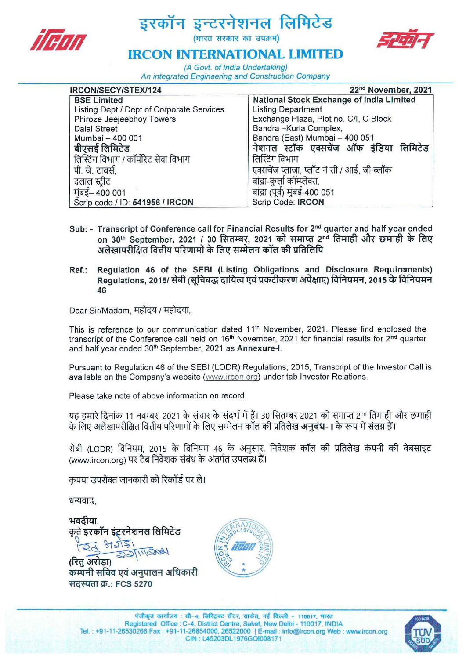



## **IRCON INTERNATIONAL LIMITED**

(A Govt. of India Undertaking) An integrated Engineering and Construction Company

| IRCON/SECY/STEX/124                       | 22 <sup>nd</sup> November, 2021                 |
|-------------------------------------------|-------------------------------------------------|
| <b>BSE Limited</b>                        | <b>National Stock Exchange of India Limited</b> |
| Listing Dept./ Dept of Corporate Services | <b>Listing Department</b>                       |
| Phiroze Jeejeebhoy Towers                 | Exchange Plaza, Plot no. C/I, G Block           |
| <b>Dalal Street</b>                       | Bandra-Kurla Complex,                           |
| Mumbai - 400 001                          | Bandra (East) Mumbai - 400 051                  |
| बीएसई लिमिटेड                             | नेशनल स्टॉक एक्सचेंज ऑफ इंडिया लिमिटेड          |
| लिस्टिंग विभाग / कॉर्पोरेट सेवा विभाग     | लिस्टिंग विभाग                                  |
| पी. जे. टावर्स,                           | एक्सचेंज प्लाजा, प्लॉट नं सी / आई, जी ब्लॉक     |
| दलाल स्टीट                                | बांद्रा-कुर्ला कॉम्प्लेक्स,                     |
| मुंबई– 400 001                            | बांद्रा (पूर्व) मुंबई-400 051                   |
| Scrip code / ID: 541956 / IRCON           | Scrip Code: IRCON                               |

- Sub: Transcript of Conference call for Financial Results for 2<sup>nd</sup> quarter and half year ended on 30<sup>th</sup> September, 2021 / 30 सितम्बर, 2021 को समाप्त 2<sup>nd</sup> तिमाही और छमाही के लिए अलेखापरीक्षित वित्तीय परिणामों के लिए सम्मेलन कॉल की प्रतिलिपि
- Ref.: Regulation 46 of the SEBI (Listing Obligations and Disclosure Requirements) Regulations, 2015/ सेबी (सुचिबद्ध दायित्व एवं प्रकटीकरण अपेक्षाए) विनियमन, 2015 के विनियमन 46

Dear Sir/Madam, महोदय / महोदया,

This is reference to our communication dated 11<sup>th</sup> November, 2021. Please find enclosed the transcript of the Conference call held on 16<sup>th</sup> November, 2021 for financial results for 2<sup>nd</sup> quarter and half year ended 30'h September, 2021 as Annexure-I.

Pursuant to Regulation 46 of the SESI (LODR) Regulations, 2015, Transcript of the Investor Call is available on the Company's website (www. ircon.org) under tab Investor Relations.

Please take note of above information on record.

यह हमारे दिनांक 11 नवम्बर, 2021 के संचार के संदर्भ में हैं। 30 सितम्बर 2021 को समाप्त 2nd तिमाही और छमाही के लिए अलेखापरीक्षित वित्तीय परिणामों के लिए सम्मेलन कॉल की प्रतिलेख **अनुबंध-।** के रूप में संलग्न हैं।

सेबी (LODR) विनियम, 2015 के विनियम 46 के अनुसार, निवेशक कॉल की प्रतिलेख कंपनी की वेबसाइट (www.ircon.org) पर टैब निवेशक संबंध के अंतर्गत उपलब्ध हैं।

कृपया उपरोक्त जानकारी को रिकॉर्ड पर ले।

धन्यवाद,

भवदीया कते इरकॉन इंटरनेशनल लिमिटेड

(रित अरोडा) कम्पनी सचिव एवं अनुपालन अधिकारी सदस्यता क्र.: FCS 5270



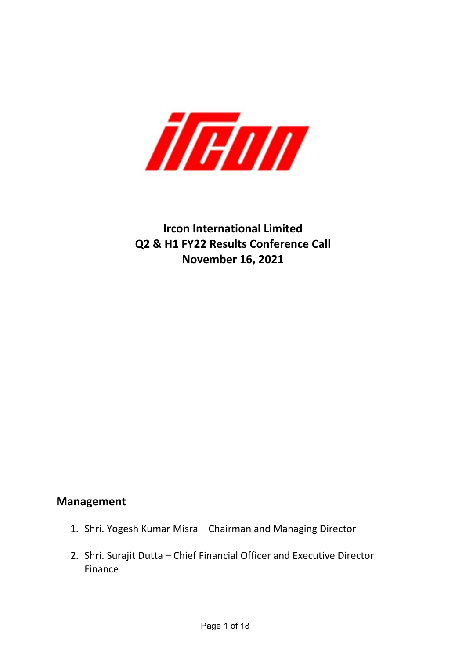

# **Ircon International Limited Q2 & H1 FY22 Results Conference Call November 16, 2021**

## **Management**

- 1. Shri. Yogesh Kumar Misra Chairman and Managing Director
- 2. Shri. Surajit Dutta Chief Financial Officer and Executive Director Finance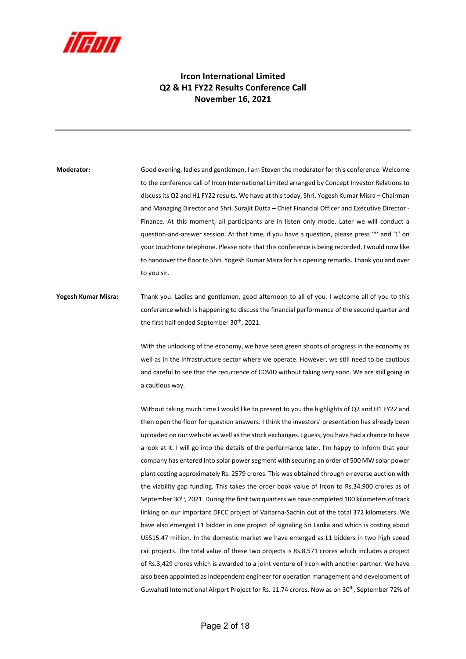

#### **Ircon International Limited Q2 & H1 FY22 Results Conference Call November 16, 2021**

**Moderator:**  Good evening, **l**adies and gentlemen. I am Steven the moderator for this conference. Welcome to the conference call of Ircon International Limited arranged by Concept Investor Relations to discuss its Q2 and H1 FY22 results. We have at this today, Shri. Yogesh Kumar Misra – Chairman and Managing Director and Shri. Surajit Dutta – Chief Financial Officer and Executive Director -Finance. At this moment, all participants are in listen only mode. Later we will conduct a question-and-answer session. At that time, if you have a question, please press '\*' and '1' on your touchtone telephone. Please note that this conference is being recorded. I would now like to handover the floor to Shri. Yogesh Kumar Misra for his opening remarks. Thank you and over to you sir.

### **Yogesh Kumar Misra:** Thank you. Ladies and gentlemen, good afternoon to all of you. I welcome all of you to this conference which is happening to discuss the financial performance of the second quarter and the first half ended September 30<sup>th</sup>, 2021.

With the unlocking of the economy, we have seen green shoots of progress in the economy as well as in the infrastructure sector where we operate. However, we still need to be cautious and careful to see that the recurrence of COVID without taking very soon. We are still going in a cautious way.

Without taking much time I would like to present to you the highlights of Q2 and H1 FY22 and then open the floor for question answers. I think the investors' presentation has already been uploaded on our website as well as the stock exchanges. I guess, you have had a chance to have a look at it. I will go into the details of the performance later. I'm happy to inform that your company has entered into solar power segment with securing an order of 500 MW solar power plant costing approximately Rs. 2579 crores. This was obtained through e‐reverse auction with the viability gap funding. This takes the order book value of Ircon to Rs.34,900 crores as of September 30<sup>th</sup>, 2021. During the first two quarters we have completed 100 kilometers of track linking on our important DFCC project of Vaitarna‐Sachin out of the total 372 kilometers. We have also emerged L1 bidder in one project of signaling Sri Lanka and which is costing about US\$15.47 million. In the domestic market we have emerged as L1 bidders in two high speed rail projects. The total value of these two projects is Rs.8,571 crores which includes a project of Rs.3,429 crores which is awarded to a joint venture of Ircon with another partner. We have also been appointed as independent engineer for operation management and development of Guwahati International Airport Project for Rs. 11.74 crores. Now as on 30<sup>th</sup>, September 72% of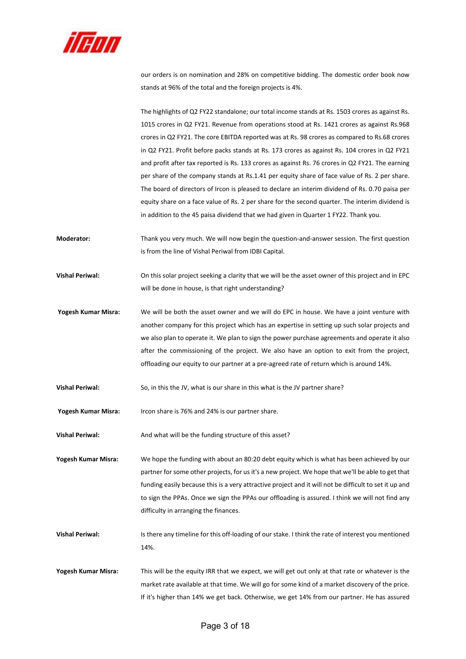

our orders is on nomination and 28% on competitive bidding. The domestic order book now stands at 96% of the total and the foreign projects is 4%.

The highlights of Q2 FY22 standalone; our total income stands at Rs. 1503 crores as against Rs. 1015 crores in Q2 FY21. Revenue from operations stood at Rs. 1421 crores as against Rs.968 crores in Q2 FY21. The core EBITDA reported was at Rs. 98 crores as compared to Rs.68 crores in Q2 FY21. Profit before packs stands at Rs. 173 crores as against Rs. 104 crores in Q2 FY21 and profit after tax reported is Rs. 133 crores as against Rs. 76 crores in Q2 FY21. The earning per share of the company stands at Rs.1.41 per equity share of face value of Rs. 2 per share. The board of directors of Ircon is pleased to declare an interim dividend of Rs. 0.70 paisa per equity share on a face value of Rs. 2 per share for the second quarter. The interim dividend is in addition to the 45 paisa dividend that we had given in Quarter 1 FY22. Thank you.

- **Moderator:** Thank you very much. We will now begin the question-and-answer session. The first question is from the line of Vishal Periwal from IDBI Capital.
- **Vishal Periwal:** On this solar project seeking a clarity that we will be the asset owner of this project and in EPC will be done in house, is that right understanding?
- **Yogesh Kumar Misra:**  We will be both the asset owner and we will do EPC in house. We have a joint venture with another company for this project which has an expertise in setting up such solar projects and we also plan to operate it. We plan to sign the power purchase agreements and operate it also after the commissioning of the project. We also have an option to exit from the project, offloading our equity to our partner at a pre‐agreed rate of return which is around 14%.
- **Vishal Periwal:** So, in this the JV, what is our share in this what is the JV partner share?

**Yogesh Kumar Misra:**  Ircon share is 76% and 24% is our partner share.

**Vishal Periwal:** And what will be the funding structure of this asset?

**Yogesh Kumar Misra:**  We hope the funding with about an 80:20 debt equity which is what has been achieved by our partner for some other projects, for us it's a new project. We hope that we'll be able to get that funding easily because this is a very attractive project and it will not be difficult to set it up and to sign the PPAs. Once we sign the PPAs our offloading is assured. I think we will not find any difficulty in arranging the finances.

Vishal Periwal: Is there any timeline for this off-loading of our stake. I think the rate of interest you mentioned 14%.

**Yogesh Kumar Misra:**  This will be the equity IRR that we expect, we will get out only at that rate or whatever is the market rate available at that time. We will go for some kind of a market discovery of the price. If it's higher than 14% we get back. Otherwise, we get 14% from our partner. He has assured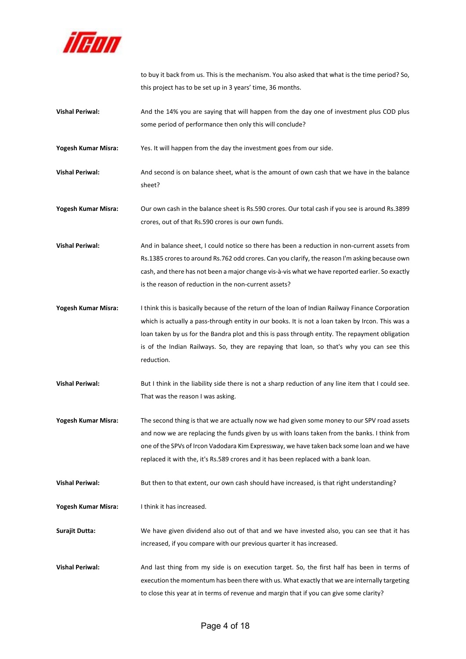

to buy it back from us. This is the mechanism. You also asked that what is the time period? So, this project has to be set up in 3 years' time, 36 months.

**Vishal Periwal:** And the 14% you are saying that will happen from the day one of investment plus COD plus some period of performance then only this will conclude?

Yogesh Kumar Misra: Yes. It will happen from the day the investment goes from our side.

**Vishal Periwal: And second is on balance sheet, what is the amount of own cash that we have in the balance** sheet?

**Yogesh Kumar Misra:**  Our own cash in the balance sheet is Rs.590 crores. Our total cash if you see is around Rs.3899 crores, out of that Rs.590 crores is our own funds.

**Vishal Periwal: And in balance sheet, I could notice so there has been a reduction in non-current assets from** Rs.1385 crores to around Rs.762 odd crores. Can you clarify, the reason I'm asking because own cash, and there has not been a major change vis‐à‐vis what we have reported earlier. So exactly is the reason of reduction in the non-current assets?

- **Yogesh Kumar Misra:**  I think this is basically because of the return of the loan of Indian Railway Finance Corporation which is actually a pass-through entity in our books. It is not a loan taken by Ircon. This was a loan taken by us for the Bandra plot and this is pass through entity. The repayment obligation is of the Indian Railways. So, they are repaying that loan, so that's why you can see this reduction.
- **Vishal Periwal:** But I think in the liability side there is not a sharp reduction of any line item that I could see. That was the reason I was asking.

**Yogesh Kumar Misra:**  The second thing is that we are actually now we had given some money to our SPV road assets and now we are replacing the funds given by us with loans taken from the banks. I think from one of the SPVs of Ircon Vadodara Kim Expressway, we have taken back some loan and we have replaced it with the, it's Rs.589 crores and it has been replaced with a bank loan.

**Vishal Periwal: But then to that extent, our own cash should have increased, is that right understanding?** 

Yogesh Kumar Misra: **I limit it has increased.** 

**Surajit Dutta:** We have given dividend also out of that and we have invested also, you can see that it has increased, if you compare with our previous quarter it has increased.

Vishal Periwal: **And last thing from my side is on execution target.** So, the first half has been in terms of execution the momentum has been there with us. What exactly that we are internally targeting to close this year at in terms of revenue and margin that if you can give some clarity?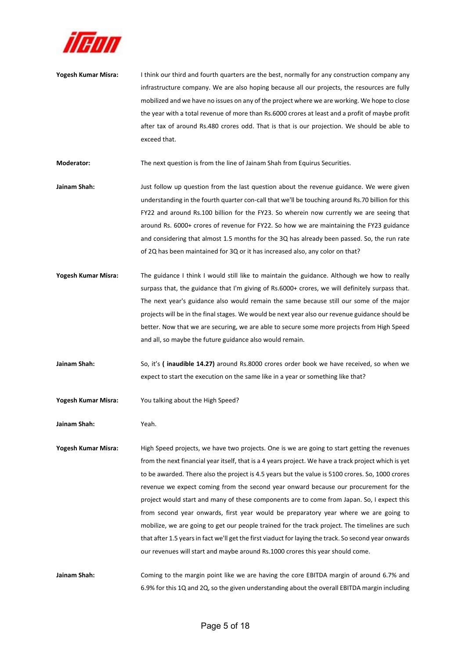

- **Yogesh Kumar Misra:**  I think our third and fourth quarters are the best, normally for any construction company any infrastructure company. We are also hoping because all our projects, the resources are fully mobilized and we have no issues on any of the project where we are working. We hope to close the year with a total revenue of more than Rs.6000 crores at least and a profit of maybe profit after tax of around Rs.480 crores odd. That is that is our projection. We should be able to exceed that.
- **Moderator:** The next question is from the line of Jainam Shah from Equirus Securities.
- Jainam Shah: Just follow up question from the last question about the revenue guidance. We were given understanding in the fourth quarter con‐call that we'll be touching around Rs.70 billion for this FY22 and around Rs.100 billion for the FY23. So wherein now currently we are seeing that around Rs. 6000+ crores of revenue for FY22. So how we are maintaining the FY23 guidance and considering that almost 1.5 months for the 3Q has already been passed. So, the run rate of 2Q has been maintained for 3Q or it has increased also, any color on that?
- Yogesh Kumar Misra: The guidance I think I would still like to maintain the guidance. Although we how to really surpass that, the guidance that I'm giving of Rs.6000+ crores, we will definitely surpass that. The next year's guidance also would remain the same because still our some of the major projects will be in the final stages. We would be next year also our revenue guidance should be better. Now that we are securing, we are able to secure some more projects from High Speed and all, so maybe the future guidance also would remain.
- Jainam Shah: So, it's (inaudible 14.27) around Rs.8000 crores order book we have received, so when we expect to start the execution on the same like in a year or something like that?
- **Yogesh Kumar Misra:**  You talking about the High Speed?

**Jainam Shah:**  Yeah.

**Yogesh Kumar Misra:**  High Speed projects, we have two projects. One is we are going to start getting the revenues from the next financial year itself, that is a 4 years project. We have a track project which is yet to be awarded. There also the project is 4.5 years but the value is 5100 crores. So, 1000 crores revenue we expect coming from the second year onward because our procurement for the project would start and many of these components are to come from Japan. So, I expect this from second year onwards, first year would be preparatory year where we are going to mobilize, we are going to get our people trained for the track project. The timelines are such that after 1.5 years in fact we'll get the first viaduct for laying the track. So second year onwards our revenues will start and maybe around Rs.1000 crores this year should come.

Jainam Shah: **Coming to the margin point like we are having the core EBITDA margin of around 6.7% and** 6.9% for this 1Q and 2Q, so the given understanding about the overall EBITDA margin including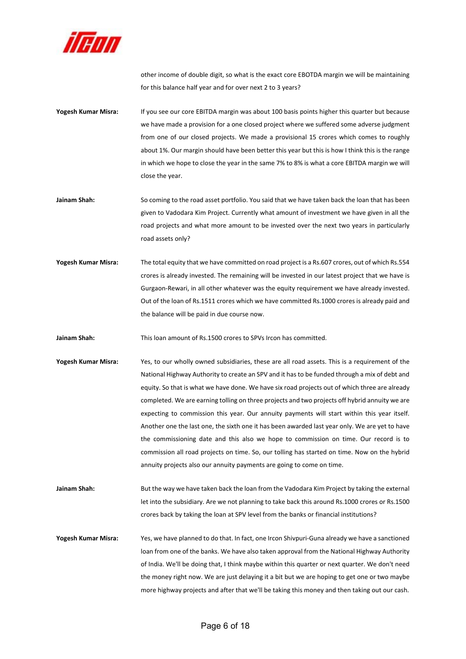

other income of double digit, so what is the exact core EBOTDA margin we will be maintaining for this balance half year and for over next 2 to 3 years?

- **Yogesh Kumar Misra:**  If you see our core EBITDA margin was about 100 basis points higher this quarter but because we have made a provision for a one closed project where we suffered some adverse judgment from one of our closed projects. We made a provisional 15 crores which comes to roughly about 1%. Our margin should have been better this year but this is how I think this is the range in which we hope to close the year in the same 7% to 8% is what a core EBITDA margin we will close the year.
- Jainam Shah: So coming to the road asset portfolio. You said that we have taken back the loan that has been given to Vadodara Kim Project. Currently what amount of investment we have given in all the road projects and what more amount to be invested over the next two years in particularly road assets only?
- **Yogesh Kumar Misra:**  The total equity that we have committed on road project is a Rs.607 crores, out of which Rs.554 crores is already invested. The remaining will be invested in our latest project that we have is Gurgaon‐Rewari, in all other whatever was the equity requirement we have already invested. Out of the loan of Rs.1511 crores which we have committed Rs.1000 crores is already paid and the balance will be paid in due course now.

**Jainam Shah:**  This loan amount of Rs.1500 crores to SPVs Ircon has committed.

- Yogesh Kumar Misra: Yes, to our wholly owned subsidiaries, these are all road assets. This is a requirement of the National Highway Authority to create an SPV and it has to be funded through a mix of debt and equity. So that is what we have done. We have six road projects out of which three are already completed. We are earning tolling on three projects and two projects off hybrid annuity we are expecting to commission this year. Our annuity payments will start within this year itself. Another one the last one, the sixth one it has been awarded last year only. We are yet to have the commissioning date and this also we hope to commission on time. Our record is to commission all road projects on time. So, our tolling has started on time. Now on the hybrid annuity projects also our annuity payments are going to come on time.
- Jainam Shah: **But the way we have taken back the loan from the Vadodara Kim Project by taking the external** let into the subsidiary. Are we not planning to take back this around Rs.1000 crores or Rs.1500 crores back by taking the loan at SPV level from the banks or financial institutions?
- **Yogesh Kumar Misra:**  Yes, we have planned to do that. In fact, one Ircon Shivpuri‐Guna already we have a sanctioned loan from one of the banks. We have also taken approval from the National Highway Authority of India. We'll be doing that, I think maybe within this quarter or next quarter. We don't need the money right now. We are just delaying it a bit but we are hoping to get one or two maybe more highway projects and after that we'll be taking this money and then taking out our cash.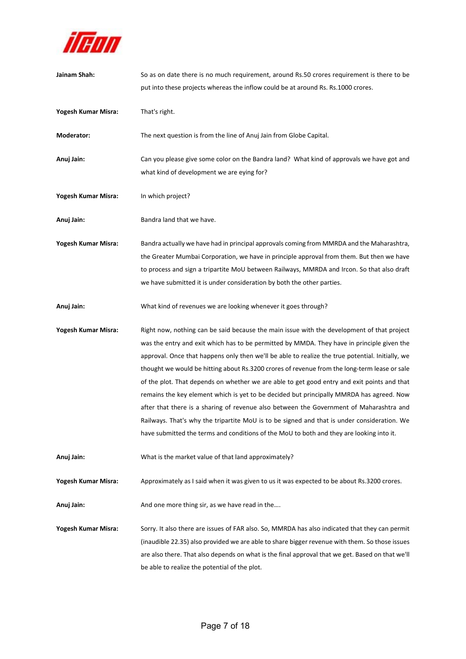

| Jainam Shah:        | So as on date there is no much requirement, around Rs.50 crores requirement is there to be<br>put into these projects whereas the inflow could be at around Rs. Rs.1000 crores.                                                                                                                                                                                                                                                                                                                                                                                                                                                                                                                                                                                                                                                                                               |
|---------------------|-------------------------------------------------------------------------------------------------------------------------------------------------------------------------------------------------------------------------------------------------------------------------------------------------------------------------------------------------------------------------------------------------------------------------------------------------------------------------------------------------------------------------------------------------------------------------------------------------------------------------------------------------------------------------------------------------------------------------------------------------------------------------------------------------------------------------------------------------------------------------------|
| Yogesh Kumar Misra: | That's right.                                                                                                                                                                                                                                                                                                                                                                                                                                                                                                                                                                                                                                                                                                                                                                                                                                                                 |
| Moderator:          | The next question is from the line of Anuj Jain from Globe Capital.                                                                                                                                                                                                                                                                                                                                                                                                                                                                                                                                                                                                                                                                                                                                                                                                           |
| Anuj Jain:          | Can you please give some color on the Bandra land? What kind of approvals we have got and<br>what kind of development we are eying for?                                                                                                                                                                                                                                                                                                                                                                                                                                                                                                                                                                                                                                                                                                                                       |
| Yogesh Kumar Misra: | In which project?                                                                                                                                                                                                                                                                                                                                                                                                                                                                                                                                                                                                                                                                                                                                                                                                                                                             |
| Anuj Jain:          | Bandra land that we have.                                                                                                                                                                                                                                                                                                                                                                                                                                                                                                                                                                                                                                                                                                                                                                                                                                                     |
| Yogesh Kumar Misra: | Bandra actually we have had in principal approvals coming from MMRDA and the Maharashtra,<br>the Greater Mumbai Corporation, we have in principle approval from them. But then we have<br>to process and sign a tripartite MoU between Railways, MMRDA and Ircon. So that also draft<br>we have submitted it is under consideration by both the other parties.                                                                                                                                                                                                                                                                                                                                                                                                                                                                                                                |
| Anuj Jain:          | What kind of revenues we are looking whenever it goes through?                                                                                                                                                                                                                                                                                                                                                                                                                                                                                                                                                                                                                                                                                                                                                                                                                |
| Yogesh Kumar Misra: | Right now, nothing can be said because the main issue with the development of that project<br>was the entry and exit which has to be permitted by MMDA. They have in principle given the<br>approval. Once that happens only then we'll be able to realize the true potential. Initially, we<br>thought we would be hitting about Rs.3200 crores of revenue from the long-term lease or sale<br>of the plot. That depends on whether we are able to get good entry and exit points and that<br>remains the key element which is yet to be decided but principally MMRDA has agreed. Now<br>after that there is a sharing of revenue also between the Government of Maharashtra and<br>Railways. That's why the tripartite MoU is to be signed and that is under consideration. We<br>have submitted the terms and conditions of the MoU to both and they are looking into it. |
| Anuj Jain:          | What is the market value of that land approximately?                                                                                                                                                                                                                                                                                                                                                                                                                                                                                                                                                                                                                                                                                                                                                                                                                          |
| Yogesh Kumar Misra: | Approximately as I said when it was given to us it was expected to be about Rs.3200 crores.                                                                                                                                                                                                                                                                                                                                                                                                                                                                                                                                                                                                                                                                                                                                                                                   |
| Anuj Jain:          | And one more thing sir, as we have read in the                                                                                                                                                                                                                                                                                                                                                                                                                                                                                                                                                                                                                                                                                                                                                                                                                                |
| Yogesh Kumar Misra: | Sorry. It also there are issues of FAR also. So, MMRDA has also indicated that they can permit<br>(inaudible 22.35) also provided we are able to share bigger revenue with them. So those issues<br>are also there. That also depends on what is the final approval that we get. Based on that we'll<br>be able to realize the potential of the plot.                                                                                                                                                                                                                                                                                                                                                                                                                                                                                                                         |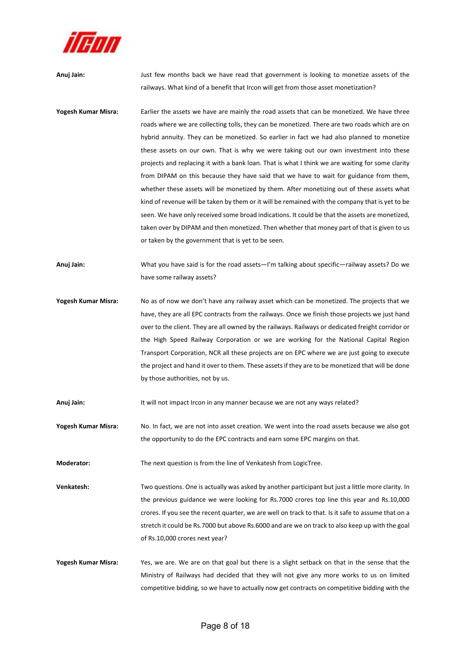

**Anuj Jain:**  Just few months back we have read that government is looking to monetize assets of the railways. What kind of a benefit that Ircon will get from those asset monetization? Yogesh Kumar Misra: Earlier the assets we have are mainly the road assets that can be monetized. We have three roads where we are collecting tolls, they can be monetized. There are two roads which are on hybrid annuity. They can be monetized. So earlier in fact we had also planned to monetize these assets on our own. That is why we were taking out our own investment into these

projects and replacing it with a bank loan. That is what I think we are waiting for some clarity from DIPAM on this because they have said that we have to wait for guidance from them, whether these assets will be monetized by them. After monetizing out of these assets what kind of revenue will be taken by them or it will be remained with the company that is yet to be seen. We have only received some broad indications. It could be that the assets are monetized, taken over by DIPAM and then monetized. Then whether that money part of that is given to us or taken by the government that is yet to be seen.

**Anuj Jain:**  What you have said is for the road assets—I'm talking about specific—railway assets? Do we have some railway assets?

**Yogesh Kumar Misra:**  No as of now we don't have any railway asset which can be monetized. The projects that we have, they are all EPC contracts from the railways. Once we finish those projects we just hand over to the client. They are all owned by the railways. Railways or dedicated freight corridor or the High Speed Railway Corporation or we are working for the National Capital Region Transport Corporation, NCR all these projects are on EPC where we are just going to execute the project and hand it over to them. These assets if they are to be monetized that will be done by those authorities, not by us.

Anuj Jain: **It will not impact Ircon in any manner because we are not any ways related?** 

**Yogesh Kumar Misra:**  No. In fact, we are not into asset creation. We went into the road assets because we also got the opportunity to do the EPC contracts and earn some EPC margins on that.

**Moderator:** The next question is from the line of Venkatesh from LogicTree.

**Venkatesh:** Two questions. One is actually was asked by another participant but just a little more clarity. In the previous guidance we were looking for Rs.7000 crores top line this year and Rs.10,000 crores. If you see the recent quarter, we are well on track to that. Is it safe to assume that on a stretch it could be Rs.7000 but above Rs.6000 and are we on track to also keep up with the goal of Rs.10,000 crores next year?

**Yogesh Kumar Misra:** Yes, we are. We are on that goal but there is a slight setback on that in the sense that the Ministry of Railways had decided that they will not give any more works to us on limited competitive bidding, so we have to actually now get contracts on competitive bidding with the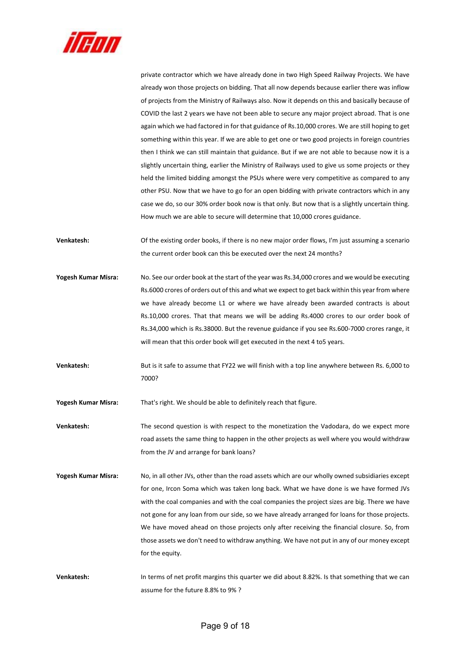

private contractor which we have already done in two High Speed Railway Projects. We have already won those projects on bidding. That all now depends because earlier there was inflow of projects from the Ministry of Railways also. Now it depends on this and basically because of COVID the last 2 years we have not been able to secure any major project abroad. That is one again which we had factored in for that guidance of Rs.10,000 crores. We are still hoping to get something within this year. If we are able to get one or two good projects in foreign countries then I think we can still maintain that guidance. But if we are not able to because now it is a slightly uncertain thing, earlier the Ministry of Railways used to give us some projects or they held the limited bidding amongst the PSUs where were very competitive as compared to any other PSU. Now that we have to go for an open bidding with private contractors which in any case we do, so our 30% order book now is that only. But now that is a slightly uncertain thing. How much we are able to secure will determine that 10,000 crores guidance.

**Venkatesh:** Of the existing order books, if there is no new major order flows, I'm just assuming a scenario the current order book can this be executed over the next 24 months?

- **Yogesh Kumar Misra:**  No. See our order book at the start of the year was Rs.34,000 crores and we would be executing Rs.6000 crores of orders out of this and what we expect to get back within this year from where we have already become L1 or where we have already been awarded contracts is about Rs.10,000 crores. That that means we will be adding Rs.4000 crores to our order book of Rs.34,000 which is Rs.38000. But the revenue guidance if you see Rs.600-7000 crores range, it will mean that this order book will get executed in the next 4 to5 years.
- **Venkatesh:** But is it safe to assume that FY22 we will finish with a top line anywhere between Rs. 6,000 to 7000?

Yogesh Kumar Misra: That's right. We should be able to definitely reach that figure.

**Venkatesh:** The second question is with respect to the monetization the Vadodara, do we expect more road assets the same thing to happen in the other projects as well where you would withdraw from the JV and arrange for bank loans?

**Yogesh Kumar Misra:**  No, in all other JVs, other than the road assets which are our wholly owned subsidiaries except for one, Ircon Soma which was taken long back. What we have done is we have formed JVs with the coal companies and with the coal companies the project sizes are big. There we have not gone for any loan from our side, so we have already arranged for loans for those projects. We have moved ahead on those projects only after receiving the financial closure. So, from those assets we don't need to withdraw anything. We have not put in any of our money except for the equity.

**Venkatesh:** In terms of net profit margins this quarter we did about 8.82%. Is that something that we can assume for the future 8.8% to 9% ?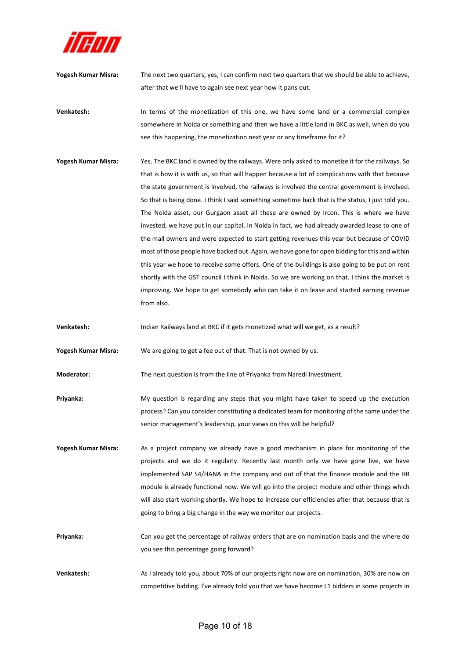

- **Yogesh Kumar Misra:**  The next two quarters, yes, I can confirm next two quarters that we should be able to achieve, after that we'll have to again see next year how it pans out.
- **Venkatesh: In terms of the monetization of this one, we have some land or a commercial complex** somewhere in Noida or something and then we have a little land in BKC as well, when do you see this happening, the monetization next year or any timeframe for it?
- **Yogesh Kumar Misra:**  Yes. The BKC land is owned by the railways. Were only asked to monetize it for the railways. So that is how it is with us, so that will happen because a lot of complications with that because the state government is involved, the railways is involved the central government is involved. So that is being done. I think I said something sometime back that is the status, I just told you. The Noida asset, our Gurgaon asset all these are owned by Ircon. This is where we have invested, we have put in our capital. In Noida in fact, we had already awarded lease to one of the mall owners and were expected to start getting revenues this year but because of COVID most of those people have backed out. Again, we have gone for open bidding for this and within this year we hope to receive some offers. One of the buildings is also going to be put on rent shortly with the GST council I think in Noida. So we are working on that. I think the market is improving. We hope to get somebody who can take it on lease and started earning revenue from also.
- **Venkatesh:**  Indian Railways land at BKC if it gets monetized what will we get, as a result?

**Yogesh Kumar Misra:**  We are going to get a fee out of that. That is not owned by us.

- **Moderator:** The next question is from the line of Priyanka from Naredi Investment.
- **Priyanka:** My question is regarding any steps that you might have taken to speed up the execution process? Can you consider constituting a dedicated team for monitoring of the same under the senior management's leadership, your views on this will be helpful?
- Yogesh Kumar Misra: As a project company we already have a good mechanism in place for monitoring of the projects and we do it regularly. Recently last month only we have gone live, we have implemented SAP S4/HANA in the company and out of that the finance module and the HR module is already functional now. We will go into the project module and other things which will also start working shortly. We hope to increase our efficiencies after that because that is going to bring a big change in the way we monitor our projects.
- **Priyanka:** Can you get the percentage of railway orders that are on nomination basis and the where do you see this percentage going forward?
- **Venkatesh:** As I already told you, about 70% of our projects right now are on nomination, 30% are now on competitive bidding. I've already told you that we have become L1 bidders in some projects in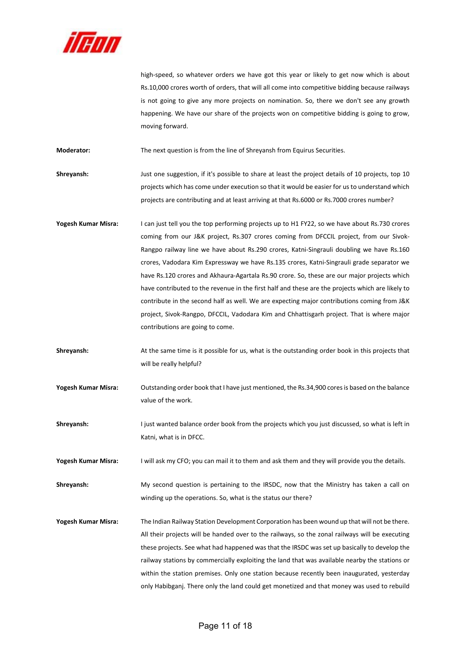

high-speed, so whatever orders we have got this year or likely to get now which is about Rs.10,000 crores worth of orders, that will all come into competitive bidding because railways is not going to give any more projects on nomination. So, there we don't see any growth happening. We have our share of the projects won on competitive bidding is going to grow, moving forward.

**Moderator:** The next question is from the line of Shreyansh from Equirus Securities.

**Shreyansh:** Just one suggestion, if it's possible to share at least the project details of 10 projects, top 10 projects which has come under execution so that it would be easier for us to understand which projects are contributing and at least arriving at that Rs.6000 or Rs.7000 crores number?

- **Yogesh Kumar Misra:**  I can just tell you the top performing projects up to H1 FY22, so we have about Rs.730 crores coming from our J&K project, Rs.307 crores coming from DFCCIL project, from our Sivok-Rangpo railway line we have about Rs.290 crores, Katni-Singrauli doubling we have Rs.160 crores, Vadodara Kim Expressway we have Rs.135 crores, Katni‐Singrauli grade separator we have Rs.120 crores and Akhaura-Agartala Rs.90 crore. So, these are our major projects which have contributed to the revenue in the first half and these are the projects which are likely to contribute in the second half as well. We are expecting major contributions coming from J&K project, Sivok‐Rangpo, DFCCIL, Vadodara Kim and Chhattisgarh project. That is where major contributions are going to come.
- **Shreyansh:** At the same time is it possible for us, what is the outstanding order book in this projects that will be really helpful?
- **Yogesh Kumar Misra:**  Outstanding order book that I have just mentioned, the Rs.34,900 cores is based on the balance value of the work.
- **Shreyansh:** I just wanted balance order book from the projects which you just discussed, so what is left in Katni, what is in DFCC.

**Yogesh Kumar Misra:**  I will ask my CFO; you can mail it to them and ask them and they will provide you the details.

**Shreyansh:** My second question is pertaining to the IRSDC, now that the Ministry has taken a call on winding up the operations. So, what is the status our there?

**Yogesh Kumar Misra:**  The Indian Railway Station Development Corporation has been wound up that will not be there. All their projects will be handed over to the railways, so the zonal railways will be executing these projects. See what had happened was that the IRSDC was set up basically to develop the railway stations by commercially exploiting the land that was available nearby the stations or within the station premises. Only one station because recently been inaugurated, yesterday only Habibganj. There only the land could get monetized and that money was used to rebuild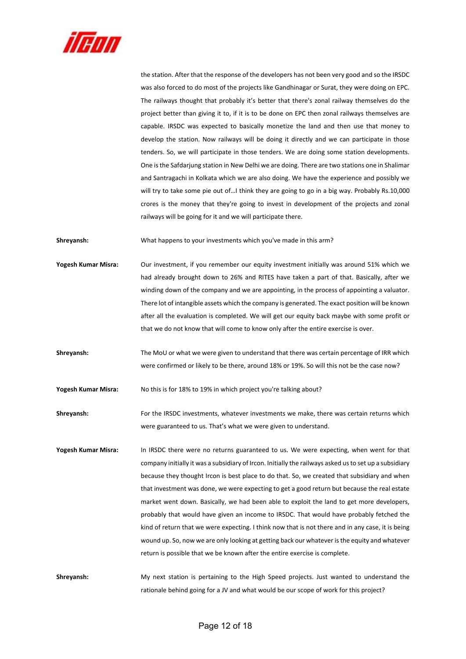

the station. After that the response of the developers has not been very good and so the IRSDC was also forced to do most of the projects like Gandhinagar or Surat, they were doing on EPC. The railways thought that probably it's better that there's zonal railway themselves do the project better than giving it to, if it is to be done on EPC then zonal railways themselves are capable. IRSDC was expected to basically monetize the land and then use that money to develop the station. Now railways will be doing it directly and we can participate in those tenders. So, we will participate in those tenders. We are doing some station developments. One is the Safdarjung station in New Delhi we are doing. There are two stations one in Shalimar and Santragachi in Kolkata which we are also doing. We have the experience and possibly we will try to take some pie out of…I think they are going to go in a big way. Probably Rs.10,000 crores is the money that they're going to invest in development of the projects and zonal railways will be going for it and we will participate there.

**Shreyansh:** What happens to your investments which you've made in this arm?

- **Yogesh Kumar Misra:**  Our investment, if you remember our equity investment initially was around 51% which we had already brought down to 26% and RITES have taken a part of that. Basically, after we winding down of the company and we are appointing, in the process of appointing a valuator. There lot of intangible assets which the company is generated. The exact position will be known after all the evaluation is completed. We will get our equity back maybe with some profit or that we do not know that will come to know only after the entire exercise is over.
- **Shreyansh:** The MoU or what we were given to understand that there was certain percentage of IRR which were confirmed or likely to be there, around 18% or 19%. So will this not be the case now?

**Yogesh Kumar Misra:**  No this is for 18% to 19% in which project you're talking about?

**Shreyansh:** For the IRSDC investments, whatever investments we make, there was certain returns which were guaranteed to us. That's what we were given to understand.

Yogesh Kumar Misra: In IRSDC there were no returns guaranteed to us. We were expecting, when went for that company initially it was a subsidiary of Ircon. Initially the railways asked us to set up a subsidiary because they thought Ircon is best place to do that. So, we created that subsidiary and when that investment was done, we were expecting to get a good return but because the real estate market went down. Basically, we had been able to exploit the land to get more developers, probably that would have given an income to IRSDC. That would have probably fetched the kind of return that we were expecting. I think now that is not there and in any case, it is being wound up. So, now we are only looking at getting back our whatever is the equity and whatever return is possible that we be known after the entire exercise is complete.

**Shreyansh:** My next station is pertaining to the High Speed projects. Just wanted to understand the rationale behind going for a JV and what would be our scope of work for this project?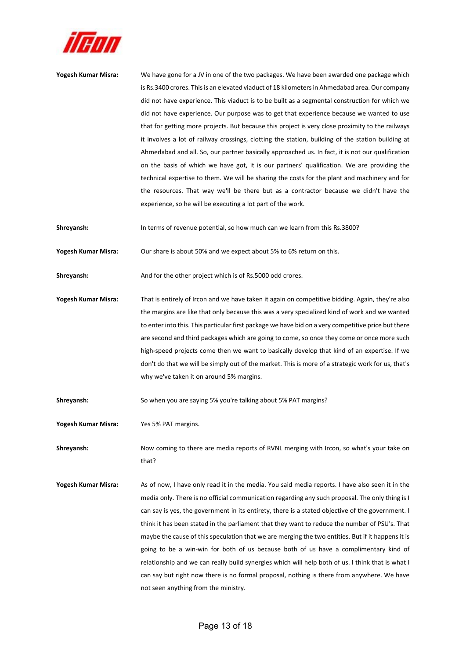

| Yogesh Kumar Misra: | We have gone for a JV in one of the two packages. We have been awarded one package which            |
|---------------------|-----------------------------------------------------------------------------------------------------|
|                     | is Rs.3400 crores. This is an elevated viaduct of 18 kilometers in Ahmedabad area. Our company      |
|                     | did not have experience. This viaduct is to be built as a segmental construction for which we       |
|                     | did not have experience. Our purpose was to get that experience because we wanted to use            |
|                     | that for getting more projects. But because this project is very close proximity to the railways    |
|                     | it involves a lot of railway crossings, clotting the station, building of the station building at   |
|                     | Ahmedabad and all. So, our partner basically approached us. In fact, it is not our qualification    |
|                     | on the basis of which we have got, it is our partners' qualification. We are providing the          |
|                     | technical expertise to them. We will be sharing the costs for the plant and machinery and for       |
|                     | the resources. That way we'll be there but as a contractor because we didn't have the               |
|                     | experience, so he will be executing a lot part of the work.                                         |
| Shreyansh:          | In terms of revenue potential, so how much can we learn from this Rs.3800?                          |
| Yogesh Kumar Misra: | Our share is about 50% and we expect about 5% to 6% return on this.                                 |
| Shreyansh:          | And for the other project which is of Rs.5000 odd crores.                                           |
| Yogesh Kumar Misra: | That is entirely of Ircon and we have taken it again on competitive bidding. Again, they're also    |
|                     | the margins are like that only because this was a very specialized kind of work and we wanted       |
|                     | to enter into this. This particular first package we have bid on a very competitive price but there |
|                     | are second and third packages which are going to come, so once they come or once more such          |
|                     | high-speed projects come then we want to basically develop that kind of an expertise. If we         |
|                     | don't do that we will be simply out of the market. This is more of a strategic work for us, that's  |
|                     | why we've taken it on around 5% margins.                                                            |
| Shreyansh:          | So when you are saying 5% you're talking about 5% PAT margins?                                      |
| Yogesh Kumar Misra: | Yes 5% PAT margins.                                                                                 |
| Shreyansh:          | Now coming to there are media reports of RVNL merging with Ircon, so what's your take on            |
|                     | that?                                                                                               |

**Yogesh Kumar Misra:**  As of now, I have only read it in the media. You said media reports. I have also seen it in the media only. There is no official communication regarding any such proposal. The only thing is I can say is yes, the government in its entirety, there is a stated objective of the government. I think it has been stated in the parliament that they want to reduce the number of PSU's. That maybe the cause of this speculation that we are merging the two entities. But if it happens it is going to be a win-win for both of us because both of us have a complimentary kind of relationship and we can really build synergies which will help both of us. I think that is what I can say but right now there is no formal proposal, nothing is there from anywhere. We have not seen anything from the ministry.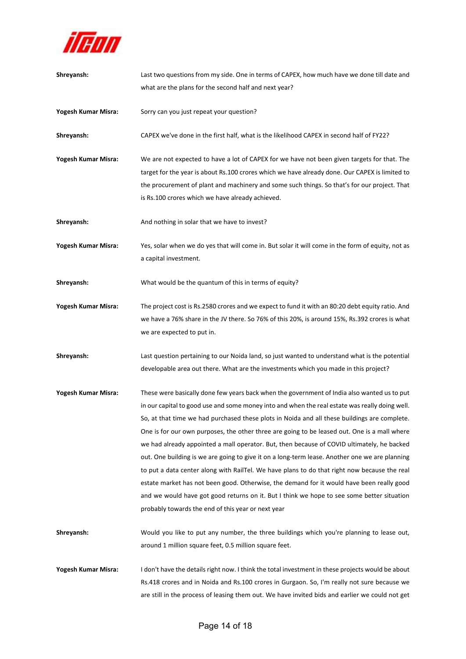

| Shreyansh:          | Last two questions from my side. One in terms of CAPEX, how much have we done till date and                                                                                                    |
|---------------------|------------------------------------------------------------------------------------------------------------------------------------------------------------------------------------------------|
|                     | what are the plans for the second half and next year?                                                                                                                                          |
|                     |                                                                                                                                                                                                |
| Yogesh Kumar Misra: | Sorry can you just repeat your question?                                                                                                                                                       |
| Shreyansh:          | CAPEX we've done in the first half, what is the likelihood CAPEX in second half of FY22?                                                                                                       |
| Yogesh Kumar Misra: | We are not expected to have a lot of CAPEX for we have not been given targets for that. The                                                                                                    |
|                     | target for the year is about Rs.100 crores which we have already done. Our CAPEX is limited to                                                                                                 |
|                     | the procurement of plant and machinery and some such things. So that's for our project. That                                                                                                   |
|                     | is Rs.100 crores which we have already achieved.                                                                                                                                               |
| Shreyansh:          | And nothing in solar that we have to invest?                                                                                                                                                   |
| Yogesh Kumar Misra: | Yes, solar when we do yes that will come in. But solar it will come in the form of equity, not as                                                                                              |
|                     | a capital investment.                                                                                                                                                                          |
| Shreyansh:          | What would be the quantum of this in terms of equity?                                                                                                                                          |
|                     |                                                                                                                                                                                                |
| Yogesh Kumar Misra: | The project cost is Rs.2580 crores and we expect to fund it with an 80:20 debt equity ratio. And                                                                                               |
|                     | we have a 76% share in the JV there. So 76% of this 20%, is around 15%, Rs.392 crores is what                                                                                                  |
|                     | we are expected to put in.                                                                                                                                                                     |
| Shreyansh:          | Last question pertaining to our Noida land, so just wanted to understand what is the potential                                                                                                 |
|                     | developable area out there. What are the investments which you made in this project?                                                                                                           |
| Yogesh Kumar Misra: | These were basically done few years back when the government of India also wanted us to put                                                                                                    |
|                     | in our capital to good use and some money into and when the real estate was really doing well.                                                                                                 |
|                     | So, at that time we had purchased these plots in Noida and all these buildings are complete.                                                                                                   |
|                     | One is for our own purposes, the other three are going to be leased out. One is a mall where                                                                                                   |
|                     | we had already appointed a mall operator. But, then because of COVID ultimately, he backed                                                                                                     |
|                     | out. One building is we are going to give it on a long-term lease. Another one we are planning                                                                                                 |
|                     | to put a data center along with RailTel. We have plans to do that right now because the real                                                                                                   |
|                     | estate market has not been good. Otherwise, the demand for it would have been really good                                                                                                      |
|                     | and we would have got good returns on it. But I think we hope to see some better situation                                                                                                     |
|                     | probably towards the end of this year or next year                                                                                                                                             |
| Shreyansh:          | Would you like to put any number, the three buildings which you're planning to lease out,                                                                                                      |
|                     |                                                                                                                                                                                                |
|                     | around 1 million square feet, 0.5 million square feet.                                                                                                                                         |
|                     |                                                                                                                                                                                                |
| Yogesh Kumar Misra: | I don't have the details right now. I think the total investment in these projects would be about                                                                                              |
|                     | Rs.418 crores and in Noida and Rs.100 crores in Gurgaon. So, I'm really not sure because we<br>are still in the process of leasing them out. We have invited bids and earlier we could not get |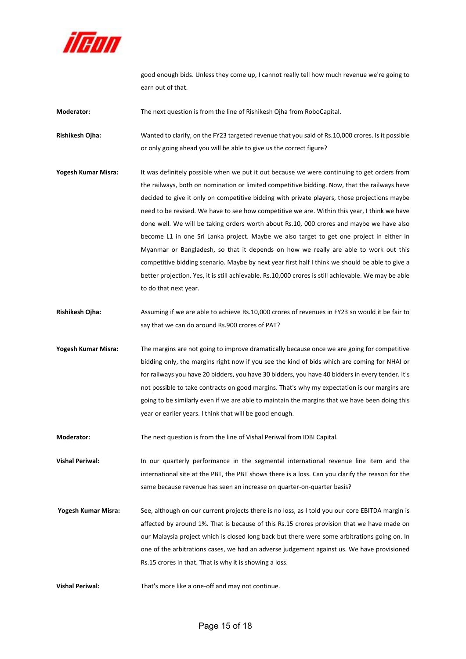

good enough bids. Unless they come up, I cannot really tell how much revenue we're going to earn out of that.

**Moderator:** The next question is from the line of Rishikesh Ojha from RoboCapital.

**Rishikesh Ojha:** Wanted to clarify, on the FY23 targeted revenue that you said of Rs.10,000 crores. Is it possible or only going ahead you will be able to give us the correct figure?

- **Yogesh Kumar Misra:**  It was definitely possible when we put it out because we were continuing to get orders from the railways, both on nomination or limited competitive bidding. Now, that the railways have decided to give it only on competitive bidding with private players, those projections maybe need to be revised. We have to see how competitive we are. Within this year, I think we have done well. We will be taking orders worth about Rs.10, 000 crores and maybe we have also become L1 in one Sri Lanka project. Maybe we also target to get one project in either in Myanmar or Bangladesh, so that it depends on how we really are able to work out this competitive bidding scenario. Maybe by next year first half I think we should be able to give a better projection. Yes, it is still achievable. Rs.10,000 crores is still achievable. We may be able to do that next year.
- **Rishikesh Ojha:**  Assuming if we are able to achieve Rs.10,000 crores of revenues in FY23 so would it be fair to say that we can do around Rs.900 crores of PAT?
- **Yogesh Kumar Misra:**  The margins are not going to improve dramatically because once we are going for competitive bidding only, the margins right now if you see the kind of bids which are coming for NHAI or for railways you have 20 bidders, you have 30 bidders, you have 40 bidders in every tender. It's not possible to take contracts on good margins. That's why my expectation is our margins are going to be similarly even if we are able to maintain the margins that we have been doing this year or earlier years. I think that will be good enough.

**Moderator:** The next question is from the line of Vishal Periwal from IDBI Capital.

**Vishal Periwal:** In our quarterly performance in the segmental international revenue line item and the international site at the PBT, the PBT shows there is a loss. Can you clarify the reason for the same because revenue has seen an increase on quarter-on-quarter basis?

- **Yogesh Kumar Misra:**  See, although on our current projects there is no loss, as I told you our core EBITDA margin is affected by around 1%. That is because of this Rs.15 crores provision that we have made on our Malaysia project which is closed long back but there were some arbitrations going on. In one of the arbitrations cases, we had an adverse judgement against us. We have provisioned Rs.15 crores in that. That is why it is showing a loss.
- Vishal Periwal: That's more like a one-off and may not continue.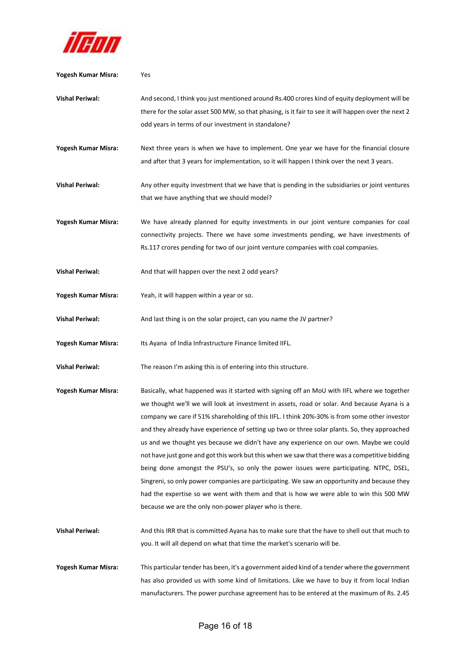

| Yogesh Kumar Misra:    | Yes                                                                                                                                                                                                                                                                                                                                                                                                                                                                                                                                                                                                                                                                                                                                                                                                                                                                                                                                    |
|------------------------|----------------------------------------------------------------------------------------------------------------------------------------------------------------------------------------------------------------------------------------------------------------------------------------------------------------------------------------------------------------------------------------------------------------------------------------------------------------------------------------------------------------------------------------------------------------------------------------------------------------------------------------------------------------------------------------------------------------------------------------------------------------------------------------------------------------------------------------------------------------------------------------------------------------------------------------|
| <b>Vishal Periwal:</b> | And second, I think you just mentioned around Rs.400 crores kind of equity deployment will be<br>there for the solar asset 500 MW, so that phasing, is it fair to see it will happen over the next 2<br>odd years in terms of our investment in standalone?                                                                                                                                                                                                                                                                                                                                                                                                                                                                                                                                                                                                                                                                            |
| Yogesh Kumar Misra:    | Next three years is when we have to implement. One year we have for the financial closure<br>and after that 3 years for implementation, so it will happen I think over the next 3 years.                                                                                                                                                                                                                                                                                                                                                                                                                                                                                                                                                                                                                                                                                                                                               |
| <b>Vishal Periwal:</b> | Any other equity investment that we have that is pending in the subsidiaries or joint ventures<br>that we have anything that we should model?                                                                                                                                                                                                                                                                                                                                                                                                                                                                                                                                                                                                                                                                                                                                                                                          |
| Yogesh Kumar Misra:    | We have already planned for equity investments in our joint venture companies for coal<br>connectivity projects. There we have some investments pending, we have investments of<br>Rs.117 crores pending for two of our joint venture companies with coal companies.                                                                                                                                                                                                                                                                                                                                                                                                                                                                                                                                                                                                                                                                   |
| <b>Vishal Periwal:</b> | And that will happen over the next 2 odd years?                                                                                                                                                                                                                                                                                                                                                                                                                                                                                                                                                                                                                                                                                                                                                                                                                                                                                        |
| Yogesh Kumar Misra:    | Yeah, it will happen within a year or so.                                                                                                                                                                                                                                                                                                                                                                                                                                                                                                                                                                                                                                                                                                                                                                                                                                                                                              |
| <b>Vishal Periwal:</b> | And last thing is on the solar project, can you name the JV partner?                                                                                                                                                                                                                                                                                                                                                                                                                                                                                                                                                                                                                                                                                                                                                                                                                                                                   |
| Yogesh Kumar Misra:    | Its Ayana of India Infrastructure Finance limited IIFL.                                                                                                                                                                                                                                                                                                                                                                                                                                                                                                                                                                                                                                                                                                                                                                                                                                                                                |
| <b>Vishal Periwal:</b> | The reason I'm asking this is of entering into this structure.                                                                                                                                                                                                                                                                                                                                                                                                                                                                                                                                                                                                                                                                                                                                                                                                                                                                         |
| Yogesh Kumar Misra:    | Basically, what happened was it started with signing off an MoU with IIFL where we together<br>we thought we'll we will look at investment in assets, road or solar. And because Ayana is a<br>company we care if 51% shareholding of this IIFL. I think 20%-30% is from some other investor<br>and they already have experience of setting up two or three solar plants. So, they approached<br>us and we thought yes because we didn't have any experience on our own. Maybe we could<br>not have just gone and got this work but this when we saw that there was a competitive bidding<br>being done amongst the PSU's, so only the power issues were participating. NTPC, DSEL,<br>Singreni, so only power companies are participating. We saw an opportunity and because they<br>had the expertise so we went with them and that is how we were able to win this 500 MW<br>because we are the only non-power player who is there. |
| <b>Vishal Periwal:</b> | And this IRR that is committed Ayana has to make sure that the have to shell out that much to<br>you. It will all depend on what that time the market's scenario will be.                                                                                                                                                                                                                                                                                                                                                                                                                                                                                                                                                                                                                                                                                                                                                              |
| Yogesh Kumar Misra:    | This particular tender has been, it's a government aided kind of a tender where the government<br>has also provided us with some kind of limitations. Like we have to buy it from local Indian<br>manufacturers. The power purchase agreement has to be entered at the maximum of Rs. 2.45                                                                                                                                                                                                                                                                                                                                                                                                                                                                                                                                                                                                                                             |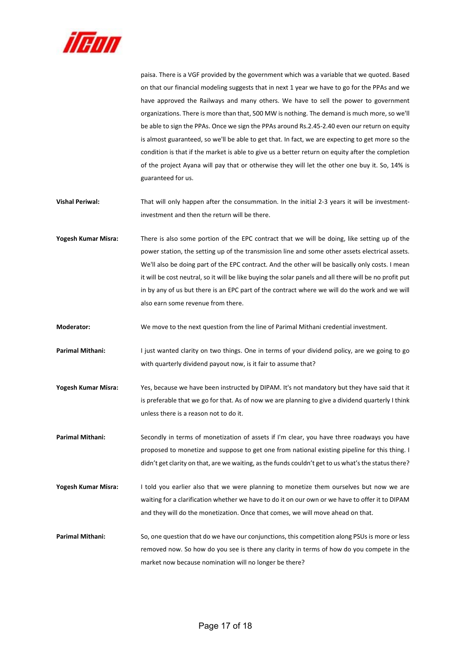

paisa. There is a VGF provided by the government which was a variable that we quoted. Based on that our financial modeling suggests that in next 1 year we have to go for the PPAs and we have approved the Railways and many others. We have to sell the power to government organizations. There is more than that, 500 MW is nothing. The demand is much more, so we'll be able to sign the PPAs. Once we sign the PPAs around Rs.2.45‐2.40 even our return on equity is almost guaranteed, so we'll be able to get that. In fact, we are expecting to get more so the condition is that if the market is able to give us a better return on equity after the completion of the project Ayana will pay that or otherwise they will let the other one buy it. So, 14% is guaranteed for us.

**Vishal Periwal:** That will only happen after the consummation. In the initial 2-3 years it will be investmentinvestment and then the return will be there.

Yogesh Kumar Misra: There is also some portion of the EPC contract that we will be doing, like setting up of the power station, the setting up of the transmission line and some other assets electrical assets. We'll also be doing part of the EPC contract. And the other will be basically only costs. I mean it will be cost neutral, so it will be like buying the solar panels and all there will be no profit put in by any of us but there is an EPC part of the contract where we will do the work and we will also earn some revenue from there.

**Moderator:** We move to the next question from the line of Parimal Mithani credential investment.

Parimal Mithani: I just wanted clarity on two things. One in terms of your dividend policy, are we going to go with quarterly dividend payout now, is it fair to assume that?

**Yogesh Kumar Misra:**  Yes, because we have been instructed by DIPAM. It's not mandatory but they have said that it is preferable that we go for that. As of now we are planning to give a dividend quarterly I think unless there is a reason not to do it.

Parimal Mithani: Secondly in terms of monetization of assets if I'm clear, you have three roadways you have proposed to monetize and suppose to get one from national existing pipeline for this thing. I didn't get clarity on that, are we waiting, as the funds couldn't get to us what's the status there?

Yogesh Kumar Misra: I told you earlier also that we were planning to monetize them ourselves but now we are waiting for a clarification whether we have to do it on our own or we have to offer it to DIPAM and they will do the monetization. Once that comes, we will move ahead on that.

**Parimal Mithani:** So, one question that do we have our conjunctions, this competition along PSUs is more or less removed now. So how do you see is there any clarity in terms of how do you compete in the market now because nomination will no longer be there?